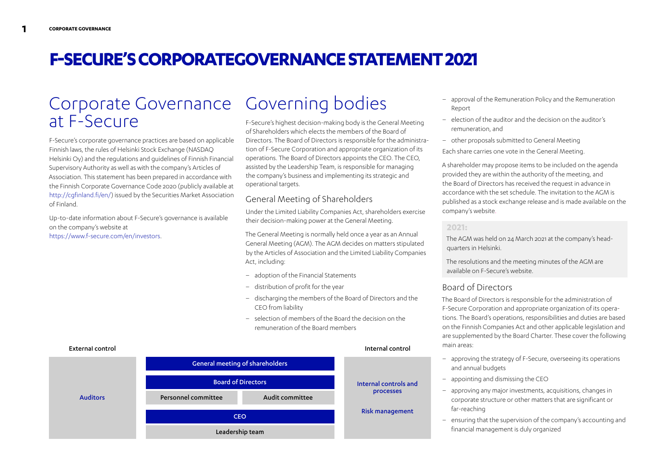# **F-SECURE'S CORPORATEGOVERNANCE STATEMENT 2021**

## Corporate Governance Governing bodies at F-Secure

F-Secure's corporate governance practices are based on applicable Finnish laws, the rules of Helsinki Stock Exchange (NASDAQ Helsinki Oy) and the regulations and guidelines of Finnish Financial Supervisory Authority as well as with the company's Articles of Association. This statement has been prepared in accordance with the Finnish Corporate Governance Code 2020 (publicly available at <http://cgfinland.fi/en/>) issued by the Securities Market Association of Finland.

Up-to-date information about F-Secure's governance is available on the company's website at <https://www.f-secure.com/en/investors>.

F-Secure's highest decision-making body is the General Meeting of Shareholders which elects the members of the Board of Directors. The Board of Directors is responsible for the administration of F-Secure Corporation and appropriate organization of its operations. The Board of Directors appoints the CEO. The CEO, assisted by the Leadership Team, is responsible for managing the company's business and implementing its strategic and operational targets.

## General Meeting of Shareholders

Under the Limited Liability Companies Act, shareholders exercise their decision-making power at the General Meeting.

The General Meeting is normally held once a year as an Annual General Meeting (AGM). The AGM decides on matters stipulated by the Articles of Association and the Limited Liability Companies Act, including:

- adoption of the Financial Statements
- distribution of profit for the year
- discharging the members of the Board of Directors and the CEO from liability
- selection of members of the Board the decision on the remuneration of the Board members



- approval of the Remuneration Policy and the Remuneration Report
- election of the auditor and the decision on the auditor's remuneration, and
- other proposals submitted to General Meeting

Each share carries one vote in the General Meeting.

A shareholder may propose items to be included on the agenda provided they are within the authority of the meeting, and the Board of Directors has received the request in advance in accordance with the set schedule. The invitation to the AGM is published as a stock exchange release and is made available on the company's website.

#### **2021:**

The AGM was held on 24 March 2021 at the company's headquarters in Helsinki.

The resolutions and the meeting minutes of the AGM are available on F-Secure's website.

## Board of Directors

The Board of Directors is responsible for the administration of F-Secure Corporation and appropriate organization of its operations. The Board's operations, responsibilities and duties are based on the Finnish Companies Act and other applicable legislation and are supplemented by the Board Charter. These cover the following main areas:

- approving the strategy of F-Secure, overseeing its operations and annual budgets
- appointing and dismissing the CEO
- approving any major investments, acquisitions, changes in corporate structure or other matters that are significant or far-reaching
- ensuring that the supervision of the company's accounting and financial management is duly organized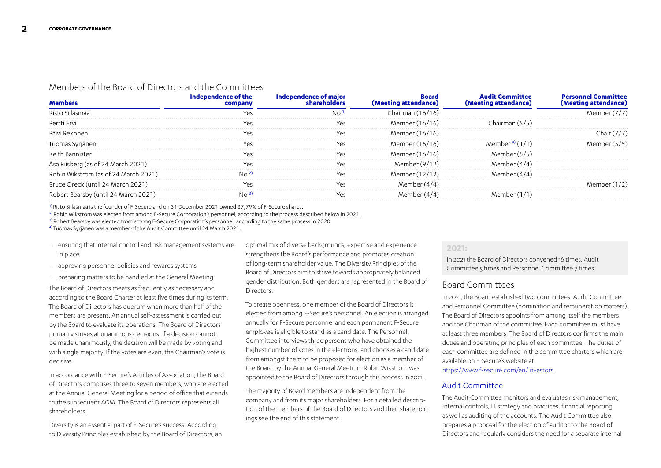## Members of the Board of Directors and the Committees

| Pertti Ervi                          |  | Member (16/16)    | Chairman (5/5) |  |
|--------------------------------------|--|-------------------|----------------|--|
|                                      |  | Member (16/16)    |                |  |
| uomas Syrjänen                       |  | Member (16/16)    | Member *       |  |
|                                      |  | Member (<br>16/16 | Member $(5/5)$ |  |
| Asa Riisberg (as of 24 March 2021)   |  | Member (9/12      |                |  |
| Robin Wikström (as of 24 March 2021) |  | Member (12/12)    |                |  |
| Oreck (until 24 March 2021)          |  |                   |                |  |
| t Bearsby (until 24 March 2021)      |  |                   |                |  |

1) Risto Siilasmaa is the founder of F-Secure and on 31 December 2021 owned 37,79% of F-Secure shares.

<sup>2)</sup> Robin Wikström was elected from among F-Secure Corporation's personnel, according to the process described below in 2021.

3) Robert Bearsby was elected from among F-Secure Corporation's personnel, according to the same process in 2020.

4) Tuomas Syrjänen was a member of the Audit Committee until 24 March 2021.

- ensuring that internal control and risk management systems are in place
- approving personnel policies and rewards systems
- preparing matters to be handled at the General Meeting

The Board of Directors meets as frequently as necessary and according to the Board Charter at least five times during its term. The Board of Directors has quorum when more than half of the members are present. An annual self-assessment is carried out by the Board to evaluate its operations. The Board of Directors primarily strives at unanimous decisions. If a decision cannot be made unanimously, the decision will be made by voting and with single majority. If the votes are even, the Chairman's vote is decisive.

In accordance with F-Secure's Articles of Association, the Board of Directors comprises three to seven members, who are elected at the Annual General Meeting for a period of office that extends to the subsequent AGM. The Board of Directors represents all shareholders.

Diversity is an essential part of F-Secure's success. According to Diversity Principles established by the Board of Directors, an optimal mix of diverse backgrounds, expertise and experience strengthens the Board's performance and promotes creation of long-term shareholder value. The Diversity Principles of the Board of Directors aim to strive towards appropriately balanced gender distribution. Both genders are represented in the Board of **Directors** 

To create openness, one member of the Board of Directors is elected from among F-Secure's personnel. An election is arranged annually for F-Secure personnel and each permanent F-Secure employee is eligible to stand as a candidate. The Personnel Committee interviews three persons who have obtained the highest number of votes in the elections, and chooses a candidate from amongst them to be proposed for election as a member of the Board by the Annual General Meeting. Robin Wikström was appointed to the Board of Directors through this process in 2021.

The majority of Board members are independent from the company and from its major shareholders. For a detailed description of the members of the Board of Directors and their shareholdings see the end of this statement.

#### **2021:**

In 2021 the Board of Directors convened 16 times, Audit Committee 5 times and Personnel Committee 7 times.

## Board Committees

In 2021, the Board established two committees: Audit Committee and Personnel Committee (nomination and remuneration matters). The Board of Directors appoints from among itself the members and the Chairman of the committee. Each committee must have at least three members. The Board of Directors confirms the main duties and operating principles of each committee. The duties of each committee are defined in the committee charters which are available on F-Secure's website at [https://www.f-secure.com/en/investors.](https://www.f-secure.com/en/investors)

#### Audit Committee

The Audit Committee monitors and evaluates risk management, internal controls, IT strategy and practices, financial reporting as well as auditing of the accounts. The Audit Committee also prepares a proposal for the election of auditor to the Board of Directors and regularly considers the need for a separate internal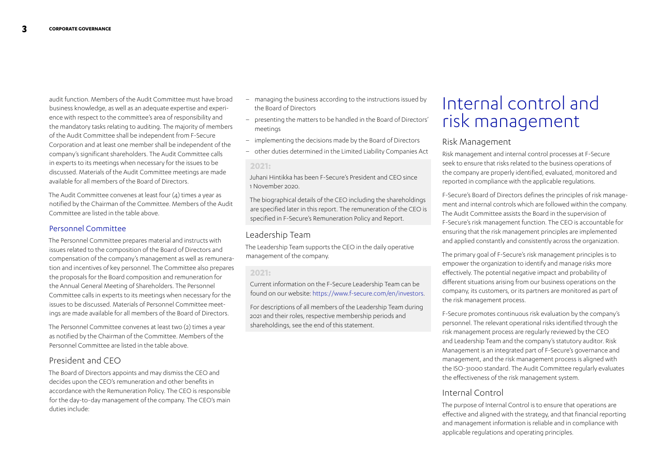audit function. Members of the Audit Committee must have broad business knowledge, as well as an adequate expertise and experience with respect to the committee's area of responsibility and the mandatory tasks relating to auditing. The majority of members of the Audit Committee shall be independent from F-Secure Corporation and at least one member shall be independent of the company's significant shareholders. The Audit Committee calls in experts to its meetings when necessary for the issues to be discussed. Materials of the Audit Committee meetings are made available for all members of the Board of Directors.

The Audit Committee convenes at least four (4) times a year as notified by the Chairman of the Committee. Members of the Audit Committee are listed in the table above.

#### Personnel Committee

The Personnel Committee prepares material and instructs with issues related to the composition of the Board of Directors and compensation of the company's management as well as remuneration and incentives of key personnel. The Committee also prepares the proposals for the Board composition and remuneration for the Annual General Meeting of Shareholders. The Personnel Committee calls in experts to its meetings when necessary for the issues to be discussed. Materials of Personnel Committee meetings are made available for all members of the Board of Directors.

The Personnel Committee convenes at least two (2) times a year as notified by the Chairman of the Committee. Members of the Personnel Committee are listed in the table above.

## President and CEO

The Board of Directors appoints and may dismiss the CEO and decides upon the CEO's remuneration and other benefits in accordance with the Remuneration Policy. The CEO is responsible for the day-to-day management of the company. The CEO's main duties include:

- managing the business according to the instructions issued by the Board of Directors
- presenting the matters to be handled in the Board of Directors' meetings
- implementing the decisions made by the Board of Directors
- other duties determined in the Limited Liability Companies Act

#### **2021:**

Juhani Hintikka has been F-Secure's President and CEO since 1 November 2020.

The biographical details of the CEO including the shareholdings are specified later in this report. The remuneration of the CEO is specified in F-Secure's Remuneration Policy and Report.

## Leadership Team

The Leadership Team supports the CEO in the daily operative management of the company.

#### **2021:**

Current information on the F-Secure Leadership Team can be found on our website:<https://www.f-secure.com/en/investors>.

For descriptions of all members of the Leadership Team during 2021 and their roles, respective membership periods and shareholdings, see the end of this statement.

# Internal control and risk management

## Risk Management

Risk management and internal control processes at F-Secure seek to ensure that risks related to the business operations of the company are properly identified, evaluated, monitored and reported in compliance with the applicable regulations.

F-Secure's Board of Directors defines the principles of risk management and internal controls which are followed within the company. The Audit Committee assists the Board in the supervision of F-Secure's risk management function. The CEO is accountable for ensuring that the risk management principles are implemented and applied constantly and consistently across the organization.

The primary goal of F-Secure's risk management principles is to empower the organization to identify and manage risks more effectively. The potential negative impact and probability of different situations arising from our business operations on the company, its customers, or its partners are monitored as part of the risk management process.

F-Secure promotes continuous risk evaluation by the company's personnel. The relevant operational risks identified through the risk management process are regularly reviewed by the CEO and Leadership Team and the company's statutory auditor. Risk Management is an integrated part of F-Secure's governance and management, and the risk management process is aligned with the ISO-31000 standard. The Audit Committee regularly evaluates the effectiveness of the risk management system.

## Internal Control

The purpose of Internal Control is to ensure that operations are effective and aligned with the strategy, and that financial reporting and management information is reliable and in compliance with applicable regulations and operating principles.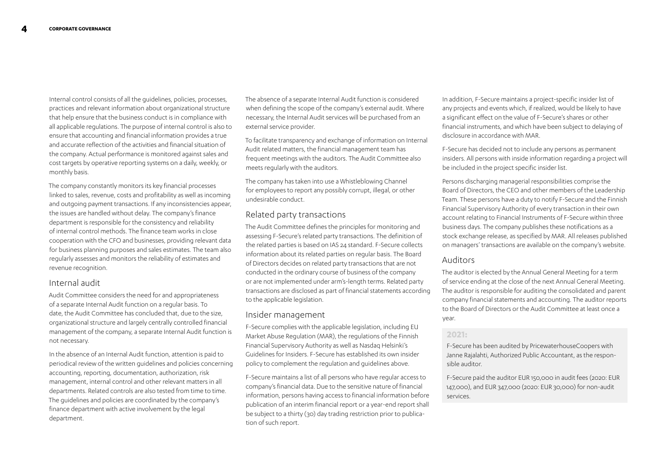Internal control consists of all the guidelines, policies, processes, practices and relevant information about organizational structure that help ensure that the business conduct is in compliance with all applicable regulations. The purpose of internal control is also to ensure that accounting and financial information provides a true and accurate reflection of the activities and financial situation of the company. Actual performance is monitored against sales and cost targets by operative reporting systems on a daily, weekly, or monthly basis.

The company constantly monitors its key financial processes linked to sales, revenue, costs and profitability as well as incoming and outgoing payment transactions. If any inconsistencies appear, the issues are handled without delay. The company's finance department is responsible for the consistency and reliability of internal control methods. The finance team works in close cooperation with the CFO and businesses, providing relevant data for business planning purposes and sales estimates. The team also regularly assesses and monitors the reliability of estimates and revenue recognition.

## Internal audit

Audit Committee considers the need for and appropriateness of a separate Internal Audit function on a regular basis. To date, the Audit Committee has concluded that, due to the size, organizational structure and largely centrally controlled financial management of the company, a separate Internal Audit function is not necessary.

In the absence of an Internal Audit function, attention is paid to periodical review of the written guidelines and policies concerning accounting, reporting, documentation, authorization, risk management, internal control and other relevant matters in all departments. Related controls are also tested from time to time. The guidelines and policies are coordinated by the company's finance department with active involvement by the legal department.

The absence of a separate Internal Audit function is considered when defining the scope of the company's external audit. Where necessary, the Internal Audit services will be purchased from an external service provider.

To facilitate transparency and exchange of information on Internal Audit related matters, the financial management team has frequent meetings with the auditors. The Audit Committee also meets regularly with the auditors.

The company has taken into use a Whistleblowing Channel for employees to report any possibly corrupt, illegal, or other undesirable conduct.

## Related party transactions

The Audit Committee defines the principles for monitoring and assessing F-Secure's related party transactions. The definition of the related parties is based on IAS 24 standard. F-Secure collects information about its related parties on regular basis. The Board of Directors decides on related party transactions that are not conducted in the ordinary course of business of the company or are not implemented under arm's-length terms. Related party transactions are disclosed as part of financial statements according to the applicable legislation.

#### Insider management

F-Secure complies with the applicable legislation, including EU Market Abuse Regulation (MAR), the regulations of the Finnish Financial Supervisory Authority as well as Nasdaq Helsinki's Guidelines for Insiders. F-Secure has established its own insider policy to complement the regulation and guidelines above.

F-Secure maintains a list of all persons who have regular access to company's financial data. Due to the sensitive nature of financial information, persons having access to financial information before publication of an interim financial report or a year-end report shall be subject to a thirty (30) day trading restriction prior to publication of such report.

In addition, F-Secure maintains a project-specific insider list of any projects and events which, if realized, would be likely to have a significant effect on the value of F-Secure's shares or other financial instruments, and which have been subject to delaying of disclosure in accordance with MAR.

F-Secure has decided not to include any persons as permanent insiders. All persons with inside information regarding a project will be included in the project specific insider list.

Persons discharging managerial responsibilities comprise the Board of Directors, the CEO and other members of the Leadership Team. These persons have a duty to notify F-Secure and the Finnish Financial Supervisory Authority of every transaction in their own account relating to Financial Instruments of F-Secure within three business days. The company publishes these notifications as a stock exchange release, as specified by MAR. All releases published on managers' transactions are available on the company's website.

## Auditors

The auditor is elected by the Annual General Meeting for a term of service ending at the close of the next Annual General Meeting. The auditor is responsible for auditing the consolidated and parent company financial statements and accounting. The auditor reports to the Board of Directors or the Audit Committee at least once a year.

#### **2021:**

F-Secure has been audited by PricewaterhouseCoopers with Janne Rajalahti, Authorized Public Accountant, as the responsible auditor.

F-Secure paid the auditor EUR 150,000 in audit fees (2020: EUR 147,000), and EUR 347,000 (2020: EUR 30,000) for non-audit services.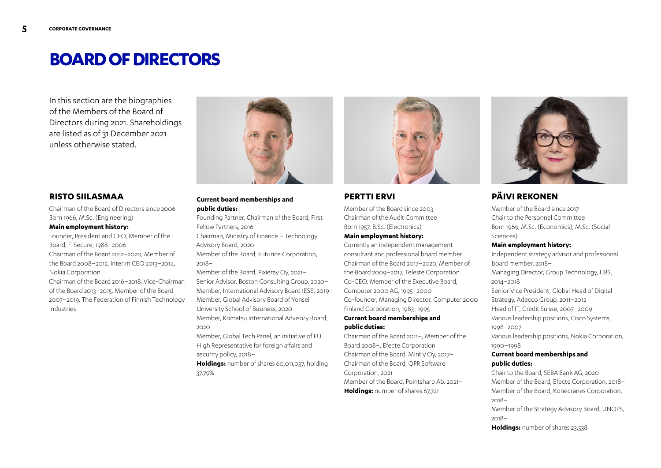## **BOARD OF DIRECTORS**

In this section are the biographies of the Members of the Board of Directors during 2021. Shareholdings are listed as of 31 December 2021 unless otherwise stated.



## **RISTO SIILASMAA**

Chairman of the Board of Directors since 2006 Born 1966, M.Sc. (Engineering)

#### **Main employment history:**

Founder, President and CEO, Member of the Board, F-Secure, 1988–2006 Chairman of the Board 2012–2020, Member of the Board 2008–2012, Interim CEO 2013–2014, Nokia Corporation

Chairman of the Board 2016–2018, Vice-Chairman of the Board 2013–2015, Member of the Board 2007–2019, The Federation of Finnish Technology Industries

#### **Current board memberships and public duties:**

Founding Partner, Chairman of the Board, First Fellow Partners, 2016–

Chairman, Ministry of Finance – Technology Advisory Board, 2020–

Member of the Board, Futurice Corporation, 2018–

Member of the Board, Pixieray Oy, 2021– Senior Advisor, Boston Consulting Group, 2020– Member, International Advisory Board IESE, 2019– Member, Global Advisory Board of Yonsei University School of Business, 2020– Member, Komatsu International Advisory Board, 2020–

Member, Global Tech Panel, an initiative of EU High Representative for foreign affairs and security policy, 2018–

**Holdings:** number of shares 60,011,037, holding 37.79%



## **PERTTI ERVI**

Member of the Board since 2003 Chairman of the Audit Committee Born 1957, B.Sc. (Electronics)

## **Main employment history:**

Currently an independent management consultant and professional board member Chairman of the Board 2017–2020, Member of the Board 2009–2017, Teleste Corporation Co-CEO, Member of the Executive Board, Computer 2000 AG, 1995–2000 Co-founder, Managing Director, Computer 2000 Finland Corporation, 1983–1995

#### **Current board memberships and public duties:**

Chairman of the Board 2011–, Member of the Board 2008–, Efecte Corporation Chairman of the Board, Mintly Oy, 2017– Chairman of the Board, QPR Software Corporation, 2021–

Member of the Board, Pointsharp Ab, 2021– **Holdings:** number of shares 67,721



## **PÄIVI REKONEN**

Member of the Board since 2017 Chair to the Personnel Committee Born 1969, M.Sc. (Economics), M.Sc. (Social Sciences)

#### **Main employment history:**

Independent strategy advisor and professional board member, 2018– Managing Director, Group Technology, UBS, 2014–2018 Senior Vice President, Global Head of Digital Strategy, Adecco Group, 2011–2012 Head of IT, Credit Suisse, 2007–2009 Various leadership positions, Cisco Systems, 1998–2007 Various leadership positions, Nokia Corporation, 1990–1998 **Current board memberships and** 

## **public duties:**

Chair to the Board, SEBA Bank AG, 2020– Member of the Board, Efecte Corporation, 2018– Member of the Board, Konecranes Corporation, 2018–

Member of the Strategy Advisory Board, UNOPS, 2018–

**Holdings:** number of shares 23,538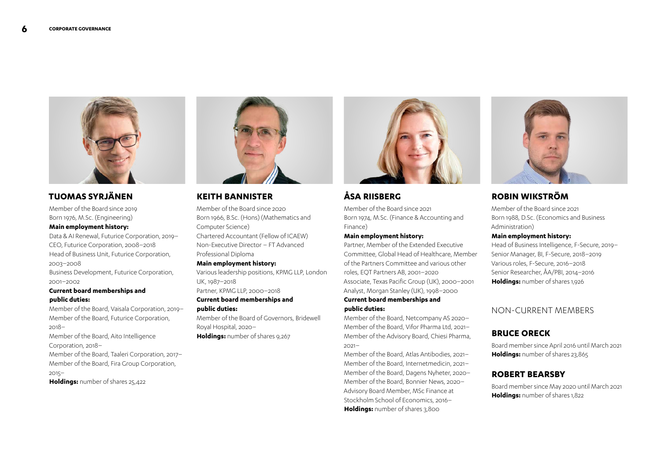

## **TUOMAS SYRJÄNEN**

Member of the Board since 2019 Born 1976, M.Sc. (Engineering)

#### **Main employment history:**

Data & AI Renewal, Futurice Corporation, 2019– CEO, Futurice Corporation, 2008–2018 Head of Business Unit, Futurice Corporation, 2003–2008 Business Development, Futurice Corporation, 2001–2002

**Current board memberships and public duties:**

## Member of the Board, Vaisala Corporation, 2019–

Member of the Board, Futurice Corporation, 2018–

Member of the Board, Aito Intelligence Corporation, 2018–

Member of the Board, Taaleri Corporation, 2017– Member of the Board, Fira Group Corporation, 2015–

**Holdings:** number of shares 25,422



## **KEITH BANNISTER**

Member of the Board since 2020 Born 1966, B.Sc. (Hons) (Mathematics and Computer Science) Chartered Accountant (Fellow of ICAEW) Non-Executive Director – FT Advanced Professional Diploma

#### **Main employment history:**

Various leadership positions, KPMG LLP, London UK, 1987–2018 Partner, KPMG LLP, 2000–2018

#### **Current board memberships and public duties:**

Member of the Board of Governors, Bridewell Royal Hospital, 2020– **Holdings:** number of shares 9,267



## **ÅSA RIISBERG**

Member of the Board since 2021 Born 1974, M.Sc. (Finance & Accounting and Finance)

#### **Main employment history:**

Partner, Member of the Extended Executive Committee, Global Head of Healthcare, Member of the Partners Committee and various other roles, EQT Partners AB, 2001–2020 Associate, Texas Pacific Group (UK), 2000–2001 Analyst, Morgan Stanley (UK), 1998–2000

#### **Current board memberships and public duties:**

Member of the Board, Netcompany AS 2020– Member of the Board, Vifor Pharma Ltd, 2021– Member of the Advisory Board, Chiesi Pharma, 2021–

Member of the Board, Atlas Antibodies, 2021– Member of the Board, Internetmedicin, 2021– Member of the Board, Dagens Nyheter, 2020– Member of the Board, Bonnier News, 2020– Advisory Board Member, MSc Finance at Stockholm School of Economics, 2016– **Holdings:** number of shares 3,800



## **ROBIN WIKSTRÖM**

Member of the Board since 2021 Born 1988, D.Sc. (Economics and Business Administration)

#### **Main employment history:**

Head of Business Intelligence, F-Secure, 2019– Senior Manager, BI, F-Secure, 2018–2019 Various roles, F-Secure, 2016–2018 Senior Researcher, ÅA/PBI, 2014–2016 **Holdings:** number of shares 1,926

## NON-CURRENT MEMBERS

## **BRUCE ORECK**

Board member since April 2016 until March 2021 **Holdings:** number of shares 23,865

## **ROBERT BEARSBY**

Board member since May 2020 until March 2021 **Holdings:** number of shares 1,822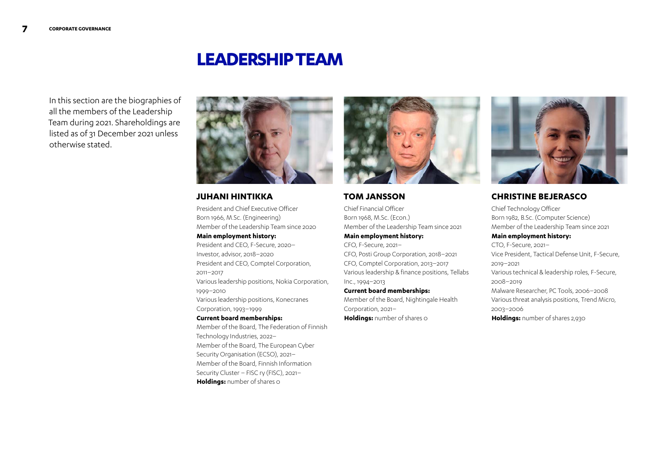## **LEADERSHIP TEAM**

In this section are the biographies of all the members of the Leadership Team during 2021. Shareholdings are listed as of 31 December 2021 unless otherwise stated.



## **JUHANI HINTIKKA**

President and Chief Executive Officer Born 1966, M.Sc. (Engineering) Member of the Leadership Team since 2020 **Main employment history:** President and CEO, F-Secure, 2020– Investor, advisor, 2018–2020 President and CEO, Comptel Corporation, 2011–2017 Various leadership positions, Nokia Corporation, 1999–2010 Various leadership positions, Konecranes Corporation, 1993–1999 **Current board memberships:** Member of the Board, The Federation of Finnish Technology Industries, 2022– Member of the Board, The European Cyber Security Organisation (ECSO), 2021– Member of the Board, Finnish Information Security Cluster – FISC ry (FISC), 2021–

**Holdings:** number of shares 0



### **TOM JANSSON**

Chief Financial Officer Born 1968, M.Sc. (Econ.) Member of the Leadership Team since 2021 **Main employment history:** CFO, F-Secure, 2021– CFO, Posti Group Corporation, 2018–2021 CFO, Comptel Corporation, 2013–2017 Various leadership & finance positions, Tellabs Inc., 1994–2013 **Current board memberships:** Member of the Board, Nightingale Health Corporation, 2021–





## **CHRISTINE BEJERASCO**

Chief Technology Officer Born 1982, B.Sc. (Computer Science) Member of the Leadership Team since 2021 **Main employment history:** CTO, F-Secure, 2021– Vice President, Tactical Defense Unit, F-Secure, 2019–2021 Various technical & leadership roles, F-Secure, 2008–2019 Malware Researcher, PC Tools, 2006–2008 Various threat analysis positions, Trend Micro, 2003–2006 **Holdings:** number of shares 2,930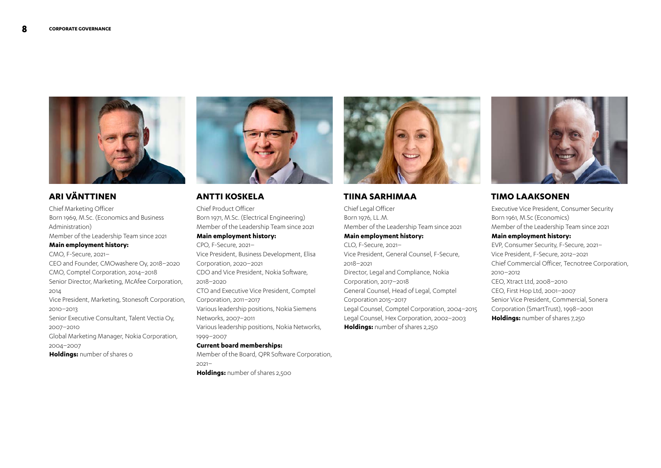

## **ARI VÄNTTINEN**

Chief Marketing Officer Born 1969, M.Sc. (Economics and Business Administration) Member of the Leadership Team since 2021 **Main employment history:**

CMO, F-Secure, 2021– CEO and Founder, CMOwashere Oy, 2018–2020 CMO, Comptel Corporation, 2014–2018 Senior Director, Marketing, McAfee Corporation, 2014 Vice President, Marketing, Stonesoft Corporation, 2010–2013 Senior Executive Consultant, Talent Vectia Oy, 2007–2010 Global Marketing Manager, Nokia Corporation, 2004–2007 **Holdings:** number of shares 0



## **ANTTI KOSKELA**

Chief Product Officer Born 1971, M.Sc. (Electrical Engineering) Member of the Leadership Team since 2021 **Main employment history:** CPO, F-Secure, 2021–

Vice President, Business Development, Elisa Corporation, 2020–2021 CDO and Vice President, Nokia Software, 2018–2020 CTO and Executive Vice President, Comptel Corporation, 2011–2017 Various leadership positions, Nokia Siemens Networks, 2007–2011 Various leadership positions, Nokia Networks, 1999–2007

#### **Current board memberships:**

Member of the Board, QPR Software Corporation, 2021– **Holdings:** number of shares 2,500



### **TIINA SARHIMAA**

Chief Legal Officer Born 1976, LL.M. Member of the Leadership Team since 2021 **Main employment history:** CLO, F-Secure, 2021– Vice President, General Counsel, F-Secure, 2018–2021 Director, Legal and Compliance, Nokia Corporation, 2017–2018 General Counsel, Head of Legal, Comptel Corporation 2015–2017 Legal Counsel, Comptel Corporation, 2004–2015 Legal Counsel, Hex Corporation, 2002–2003 **Holdings:** number of shares 2,250



## **TIMO LAAKSONEN**

Executive Vice President, Consumer Security Born 1961, M.Sc (Economics) Member of the Leadership Team since 2021 **Main employment history:** EVP, Consumer Security, F-Secure, 2021– Vice President, F-Secure, 2012–2021 Chief Commercial Officer, Tecnotree Corporation, 2010–2012 CEO, Xtract Ltd, 2008–2010 CEO, First Hop Ltd, 2001–2007 Senior Vice President, Commercial, Sonera Corporation (SmartTrust), 1998–2001 **Holdings:** number of shares 7,250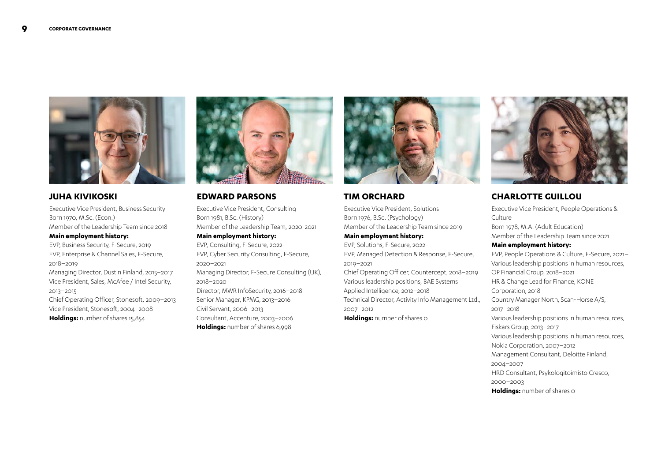

## **JUHA KIVIKOSKI**

Executive Vice President, Business Security Born 1970, M.Sc. (Econ.) Member of the Leadership Team since 2018 **Main employment history:**

EVP, Business Security, F-Secure, 2019– EVP, Enterprise & Channel Sales, F-Secure, 2018–2019

Managing Director, Dustin Finland, 2015–2017 Vice President, Sales, McAfee / Intel Security, 2013–2015

Chief Operating Officer, Stonesoft, 2009–2013 Vice President, Stonesoft, 2004–2008 **Holdings:** number of shares 15,854



### **EDWARD PARSONS**

Executive Vice President, Consulting Born 1981, B.Sc. (History) Member of the Leadership Team, 2020-2021 **Main employment history:**

EVP, Consulting, F-Secure, 2022- EVP, Cyber Security Consulting, F-Secure, 2020–2021 Managing Director, F-Secure Consulting (UK), 2018–2020 Director, MWR InfoSecurity, 2016–2018 Senior Manager, KPMG, 2013–2016 Civil Servant, 2006–2013 Consultant, Accenture, 2003–2006 **Holdings:** number of shares 6,998



### **TIM ORCHARD**

Executive Vice President, Solutions Born 1976, B.Sc. (Psychology) Member of the Leadership Team since 2019 **Main employment history:** EVP, Solutions, F-Secure, 2022- EVP, Managed Detection & Response, F-Secure, 2019–2021 Chief Operating Officer, Countercept, 2018–2019 Various leadership positions, BAE Systems Applied Intelligence, 2012–2018 Technical Director, Activity Info Management Ltd., 2007–2012 **Holdings:** number of shares 0



## **CHARLOTTE GUILLOU**

Executive Vice President, People Operations & Culture Born 1978, M.A. (Adult Education)

Member of the Leadership Team since 2021

#### **Main employment history:**

EVP, People Operations & Culture, F-Secure, 2021– Various leadership positions in human resources, OP Financial Group, 2018–2021 HR & Change Lead for Finance, KONE Corporation, 2018 Country Manager North, Scan-Horse A/S, 2017–2018 Various leadership positions in human resources, Fiskars Group, 2013–2017 Various leadership positions in human resources, Nokia Corporation, 2007–2012 Management Consultant, Deloitte Finland, 2004–2007 HRD Consultant, Psykologitoimisto Cresco, 2000–2003 **Holdings:** number of shares 0